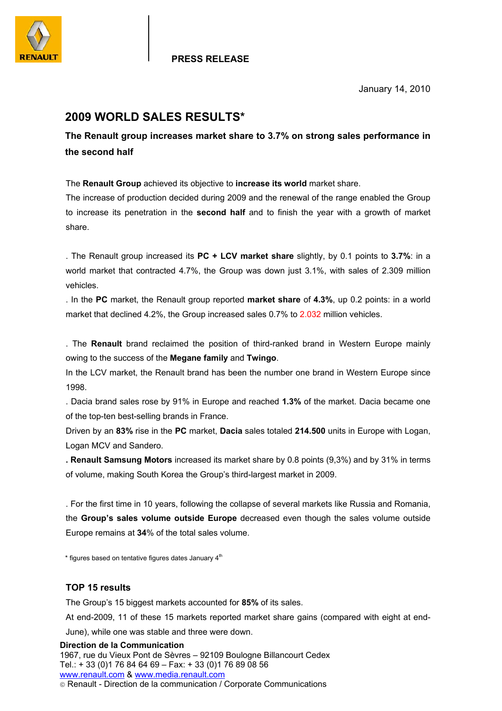

January 14, 2010

## **2009 WORLD SALES RESULTS\***

**The Renault group increases market share to 3.7% on strong sales performance in the second half** 

The **Renault Group** achieved its objective to **increase its world** market share.

The increase of production decided during 2009 and the renewal of the range enabled the Group to increase its penetration in the **second half** and to finish the year with a growth of market share.

. The Renault group increased its **PC + LCV market share** slightly, by 0.1 points to **3.7%**: in a world market that contracted 4.7%, the Group was down just 3.1%, with sales of 2.309 million vehicles.

. In the **PC** market, the Renault group reported **market share** of **4.3%**, up 0.2 points: in a world market that declined 4.2%, the Group increased sales 0.7% to 2.032 million vehicles.

. The **Renault** brand reclaimed the position of third-ranked brand in Western Europe mainly owing to the success of the **Megane family** and **Twingo**.

In the LCV market, the Renault brand has been the number one brand in Western Europe since 1998.

. Dacia brand sales rose by 91% in Europe and reached **1.3%** of the market. Dacia became one of the top-ten best-selling brands in France.

Driven by an **83%** rise in the **PC** market, **Dacia** sales totaled **214.500** units in Europe with Logan, Logan MCV and Sandero.

**. Renault Samsung Motors** increased its market share by 0.8 points (9,3%) and by 31% in terms of volume, making South Korea the Group's third-largest market in 2009.

. For the first time in 10 years, following the collapse of several markets like Russia and Romania, the **Group's sales volume outside Europe** decreased even though the sales volume outside Europe remains at **34**% of the total sales volume.

 $*$  figures based on tentative figures dates January  $4<sup>th</sup>$ 

## **TOP 15 results**

The Group's 15 biggest markets accounted for **85%** of its sales.

At end-2009, 11 of these 15 markets reported market share gains (compared with eight at end-

June), while one was stable and three were down.

## **Direction de la Communication**  1967, rue du Vieux Pont de Sèvres – 92109 Boulogne Billancourt Cedex Tel.: + 33 (0)1 76 84 64 69 – Fax: + 33 (0)1 76 89 08 56 www.renault.com & www.media.renault.com

Renault - Direction de la communication / Corporate Communications